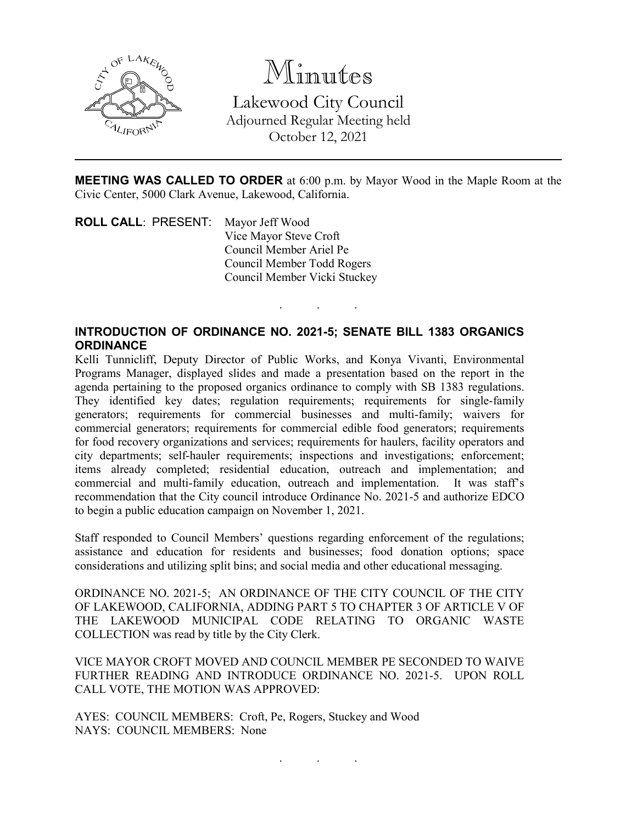

Minutes Lakewood City Council Adjourned Regular Meeting held October 12, 2021

**MEETING WAS CALLED TO ORDER** at 6:00 p.m. by Mayor Wood in the Maple Room at the Civic Center, 5000 Clark Avenue, Lakewood, California.

. . .

**ROLL CALL**: PRESENT: Mayor Jeff Wood Vice Mayor Steve Croft Council Member Ariel Pe Council Member Todd Rogers Council Member Vicki Stuckey

## **INTRODUCTION OF ORDINANCE NO. 2021-5; SENATE BILL 1383 ORGANICS ORDINANCE**

Kelli Tunnicliff, Deputy Director of Public Works, and Konya Vivanti, Environmental Programs Manager, displayed slides and made a presentation based on the report in the agenda pertaining to the proposed organics ordinance to comply with SB 1383 regulations. They identified key dates; regulation requirements; requirements for single-family generators; requirements for commercial businesses and multi-family; waivers for commercial generators; requirements for commercial edible food generators; requirements for food recovery organizations and services; requirements for haulers, facility operators and city departments; self-hauler requirements; inspections and investigations; enforcement; items already completed; residential education, outreach and implementation; and commercial and multi-family education, outreach and implementation. It was staff's recommendation that the City council introduce Ordinance No. 2021-5 and authorize EDCO to begin a public education campaign on November 1, 2021.

Staff responded to Council Members' questions regarding enforcement of the regulations; assistance and education for residents and businesses; food donation options; space considerations and utilizing split bins; and social media and other educational messaging.

ORDINANCE NO. 2021-5; AN ORDINANCE OF THE CITY COUNCIL OF THE CITY OF LAKEWOOD, CALIFORNIA, ADDING PART 5 TO CHAPTER 3 OF ARTICLE V OF THE LAKEWOOD MUNICIPAL CODE RELATING TO ORGANIC WASTE COLLECTION was read by title by the City Clerk.

VICE MAYOR CROFT MOVED AND COUNCIL MEMBER PE SECONDED TO WAIVE FURTHER READING AND INTRODUCE ORDINANCE NO. 2021-5. UPON ROLL CALL VOTE, THE MOTION WAS APPROVED:

AYES: COUNCIL MEMBERS: Croft, Pe, Rogers, Stuckey and Wood NAYS: COUNCIL MEMBERS: None

. . .